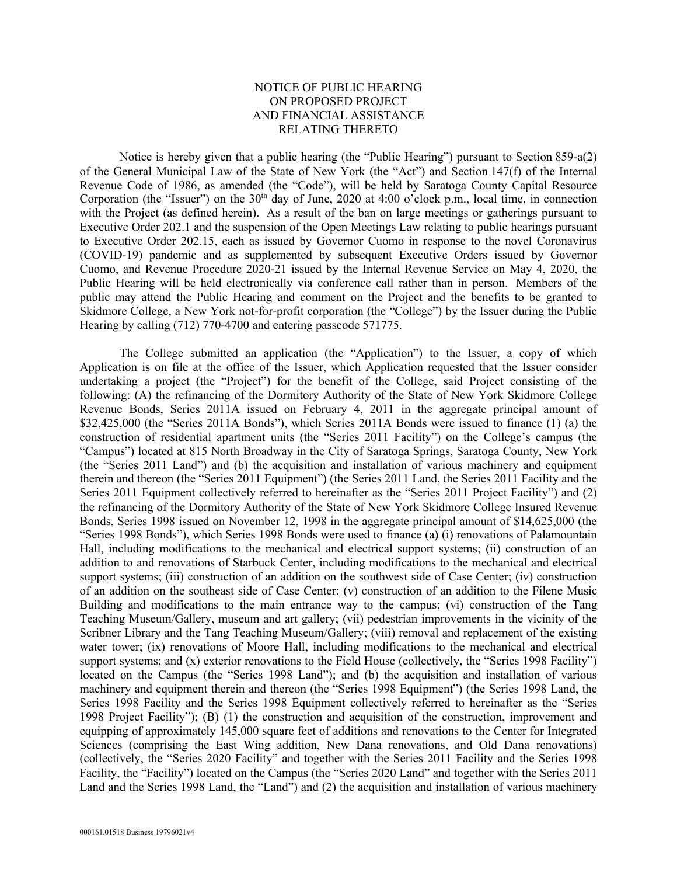## NOTICE OF PUBLIC HEARING ON PROPOSED PROJECT AND FINANCIAL ASSISTANCE RELATING THERETO

Notice is hereby given that a public hearing (the "Public Hearing") pursuant to Section 859-a(2) of the General Municipal Law of the State of New York (the "Act") and Section 147(f) of the Internal Revenue Code of 1986, as amended (the "Code"), will be held by Saratoga County Capital Resource Corporation (the "Issuer") on the  $30<sup>th</sup>$  day of June, 2020 at 4:00 o'clock p.m., local time, in connection with the Project (as defined herein). As a result of the ban on large meetings or gatherings pursuant to Executive Order 202.1 and the suspension of the Open Meetings Law relating to public hearings pursuant to Executive Order 202.15, each as issued by Governor Cuomo in response to the novel Coronavirus (COVID-19) pandemic and as supplemented by subsequent Executive Orders issued by Governor Cuomo, and Revenue Procedure 2020-21 issued by the Internal Revenue Service on May 4, 2020, the Public Hearing will be held electronically via conference call rather than in person. Members of the public may attend the Public Hearing and comment on the Project and the benefits to be granted to Skidmore College, a New York not-for-profit corporation (the "College") by the Issuer during the Public Hearing by calling (712) 770-4700 and entering passcode 571775.

The College submitted an application (the "Application") to the Issuer, a copy of which Application is on file at the office of the Issuer, which Application requested that the Issuer consider undertaking a project (the "Project") for the benefit of the College, said Project consisting of the following: (A) the refinancing of the Dormitory Authority of the State of New York Skidmore College Revenue Bonds, Series 2011A issued on February 4, 2011 in the aggregate principal amount of \$32,425,000 (the "Series 2011A Bonds"), which Series 2011A Bonds were issued to finance (1) (a) the construction of residential apartment units (the "Series 2011 Facility") on the College's campus (the "Campus") located at 815 North Broadway in the City of Saratoga Springs, Saratoga County, New York (the "Series 2011 Land") and (b) the acquisition and installation of various machinery and equipment therein and thereon (the "Series 2011 Equipment") (the Series 2011 Land, the Series 2011 Facility and the Series 2011 Equipment collectively referred to hereinafter as the "Series 2011 Project Facility") and (2) the refinancing of the Dormitory Authority of the State of New York Skidmore College Insured Revenue Bonds, Series 1998 issued on November 12, 1998 in the aggregate principal amount of \$14,625,000 (the "Series 1998 Bonds"), which Series 1998 Bonds were used to finance (a**)** (i) renovations of Palamountain Hall, including modifications to the mechanical and electrical support systems; (ii) construction of an addition to and renovations of Starbuck Center, including modifications to the mechanical and electrical support systems; (iii) construction of an addition on the southwest side of Case Center; (iv) construction of an addition on the southeast side of Case Center; (v) construction of an addition to the Filene Music Building and modifications to the main entrance way to the campus; (vi) construction of the Tang Teaching Museum/Gallery, museum and art gallery; (vii) pedestrian improvements in the vicinity of the Scribner Library and the Tang Teaching Museum/Gallery; (viii) removal and replacement of the existing water tower; (ix) renovations of Moore Hall, including modifications to the mechanical and electrical support systems; and (x) exterior renovations to the Field House (collectively, the "Series 1998 Facility") located on the Campus (the "Series 1998 Land"); and (b) the acquisition and installation of various machinery and equipment therein and thereon (the "Series 1998 Equipment") (the Series 1998 Land, the Series 1998 Facility and the Series 1998 Equipment collectively referred to hereinafter as the "Series 1998 Project Facility"); (B) (1) the construction and acquisition of the construction, improvement and equipping of approximately 145,000 square feet of additions and renovations to the Center for Integrated Sciences (comprising the East Wing addition, New Dana renovations, and Old Dana renovations) (collectively, the "Series 2020 Facility" and together with the Series 2011 Facility and the Series 1998 Facility, the "Facility") located on the Campus (the "Series 2020 Land" and together with the Series 2011 Land and the Series 1998 Land, the "Land") and (2) the acquisition and installation of various machinery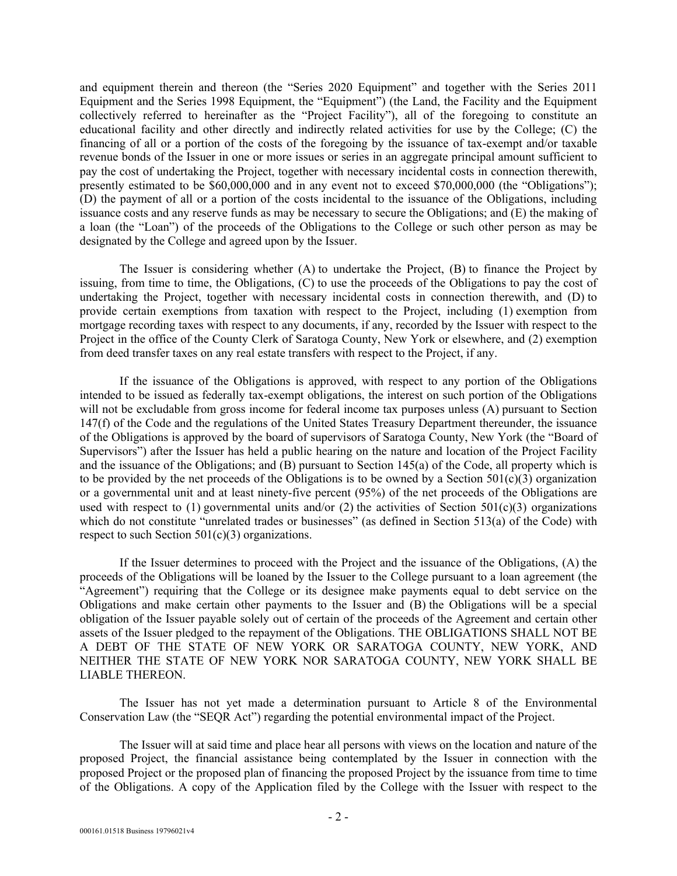and equipment therein and thereon (the "Series 2020 Equipment" and together with the Series 2011 Equipment and the Series 1998 Equipment, the "Equipment") (the Land, the Facility and the Equipment collectively referred to hereinafter as the "Project Facility"), all of the foregoing to constitute an educational facility and other directly and indirectly related activities for use by the College; (C) the financing of all or a portion of the costs of the foregoing by the issuance of tax-exempt and/or taxable revenue bonds of the Issuer in one or more issues or series in an aggregate principal amount sufficient to pay the cost of undertaking the Project, together with necessary incidental costs in connection therewith, presently estimated to be \$60,000,000 and in any event not to exceed \$70,000,000 (the "Obligations"); (D) the payment of all or a portion of the costs incidental to the issuance of the Obligations, including issuance costs and any reserve funds as may be necessary to secure the Obligations; and (E) the making of a loan (the "Loan") of the proceeds of the Obligations to the College or such other person as may be designated by the College and agreed upon by the Issuer.

The Issuer is considering whether (A) to undertake the Project, (B) to finance the Project by issuing, from time to time, the Obligations, (C) to use the proceeds of the Obligations to pay the cost of undertaking the Project, together with necessary incidental costs in connection therewith, and (D) to provide certain exemptions from taxation with respect to the Project, including (1) exemption from mortgage recording taxes with respect to any documents, if any, recorded by the Issuer with respect to the Project in the office of the County Clerk of Saratoga County, New York or elsewhere, and (2) exemption from deed transfer taxes on any real estate transfers with respect to the Project, if any.

If the issuance of the Obligations is approved, with respect to any portion of the Obligations intended to be issued as federally tax-exempt obligations, the interest on such portion of the Obligations will not be excludable from gross income for federal income tax purposes unless (A) pursuant to Section 147(f) of the Code and the regulations of the United States Treasury Department thereunder, the issuance of the Obligations is approved by the board of supervisors of Saratoga County, New York (the "Board of Supervisors") after the Issuer has held a public hearing on the nature and location of the Project Facility and the issuance of the Obligations; and (B) pursuant to Section 145(a) of the Code, all property which is to be provided by the net proceeds of the Obligations is to be owned by a Section  $501(c)(3)$  organization or a governmental unit and at least ninety-five percent (95%) of the net proceeds of the Obligations are used with respect to (1) governmental units and/or (2) the activities of Section 501(c)(3) organizations which do not constitute "unrelated trades or businesses" (as defined in Section 513(a) of the Code) with respect to such Section  $501(c)(3)$  organizations.

If the Issuer determines to proceed with the Project and the issuance of the Obligations, (A) the proceeds of the Obligations will be loaned by the Issuer to the College pursuant to a loan agreement (the "Agreement") requiring that the College or its designee make payments equal to debt service on the Obligations and make certain other payments to the Issuer and (B) the Obligations will be a special obligation of the Issuer payable solely out of certain of the proceeds of the Agreement and certain other assets of the Issuer pledged to the repayment of the Obligations. THE OBLIGATIONS SHALL NOT BE A DEBT OF THE STATE OF NEW YORK OR SARATOGA COUNTY, NEW YORK, AND NEITHER THE STATE OF NEW YORK NOR SARATOGA COUNTY, NEW YORK SHALL BE LIABLE THEREON.

The Issuer has not yet made a determination pursuant to Article 8 of the Environmental Conservation Law (the "SEQR Act") regarding the potential environmental impact of the Project.

The Issuer will at said time and place hear all persons with views on the location and nature of the proposed Project, the financial assistance being contemplated by the Issuer in connection with the proposed Project or the proposed plan of financing the proposed Project by the issuance from time to time of the Obligations. A copy of the Application filed by the College with the Issuer with respect to the